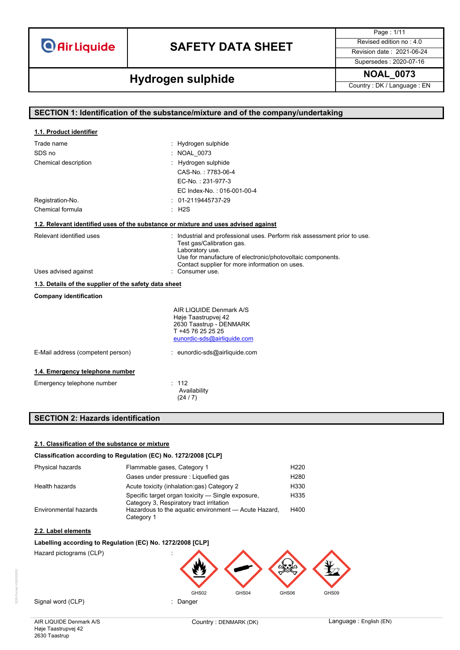## **SAFETY DATA SHEET** Revised edition no : 4.0

Page : 1/11

Supersedes : 2020-07-16

# **Hydrogen sulphide** NOAL\_0073

| SECTION 1: Identification of the substance/mixture and of the company/undertaking  |                                                                                                                                                                                                                                           |  |
|------------------------------------------------------------------------------------|-------------------------------------------------------------------------------------------------------------------------------------------------------------------------------------------------------------------------------------------|--|
|                                                                                    |                                                                                                                                                                                                                                           |  |
| 1.1. Product identifier                                                            |                                                                                                                                                                                                                                           |  |
| Trade name                                                                         | : Hydrogen sulphide                                                                                                                                                                                                                       |  |
| SDS no                                                                             | : NOAL 0073                                                                                                                                                                                                                               |  |
| Chemical description                                                               | : Hydrogen sulphide                                                                                                                                                                                                                       |  |
|                                                                                    | CAS-No.: 7783-06-4                                                                                                                                                                                                                        |  |
|                                                                                    | EC-No.: 231-977-3                                                                                                                                                                                                                         |  |
|                                                                                    | EC Index-No.: 016-001-00-4                                                                                                                                                                                                                |  |
| Registration-No.                                                                   | $: 01-2119445737-29$                                                                                                                                                                                                                      |  |
| Chemical formula                                                                   | H2S                                                                                                                                                                                                                                       |  |
| 1.2. Relevant identified uses of the substance or mixture and uses advised against |                                                                                                                                                                                                                                           |  |
| Relevant identified uses                                                           | : Industrial and professional uses. Perform risk assessment prior to use.<br>Test gas/Calibration gas.<br>Laboratory use.<br>Use for manufacture of electronic/photovoltaic components.<br>Contact supplier for more information on uses. |  |
| Uses advised against                                                               | : Consumer use.                                                                                                                                                                                                                           |  |
| 1.3. Details of the supplier of the safety data sheet                              |                                                                                                                                                                                                                                           |  |
| <b>Company identification</b>                                                      |                                                                                                                                                                                                                                           |  |
|                                                                                    | AIR LIQUIDE Denmark A/S<br>Høje Taastrupvej 42<br>2630 Taastrup - DENMARK<br>T +45 76 25 25 25<br>eunordic-sds@airliquide.com                                                                                                             |  |
| E-Mail address (competent person)                                                  | : eunordic-sds@airliquide.com                                                                                                                                                                                                             |  |
| 1.4. Emergency telephone number                                                    |                                                                                                                                                                                                                                           |  |
| Emergency telephone number                                                         | : 112<br>Availability<br>(24/7)                                                                                                                                                                                                           |  |

### **SECTION 2: Hazards identification**

#### **2.1. Classification of the substance or mixture**

#### **Classification according to Regulation (EC) No. 1272/2008 [CLP]**

| Physical hazards      | Flammable gases, Category 1                                                                   | H <sub>220</sub> |
|-----------------------|-----------------------------------------------------------------------------------------------|------------------|
|                       | Gases under pressure : Liquefied gas                                                          | H <sub>280</sub> |
| Health hazards        | Acute toxicity (inhalation:gas) Category 2                                                    | H330             |
|                       | Specific target organ toxicity — Single exposure,<br>Category 3, Respiratory tract irritation | H335             |
| Environmental hazards | Hazardous to the aquatic environment - Acute Hazard,<br>Category 1                            | H400             |

#### **2.2. Label elements**

#### **Labelling according to Regulation (EC) No. 1272/2008 [CLP]**

Hazard pictograms (CLP) :

SDS-Format HG2020002

Signal word (CLP) **in the set of the Signal word (CLP)** and the set of the set of the Signal and the Signal and Si

AIR LIQUIDE Denmark A/S Høje Taastrupvej 42 2630 Taastrup

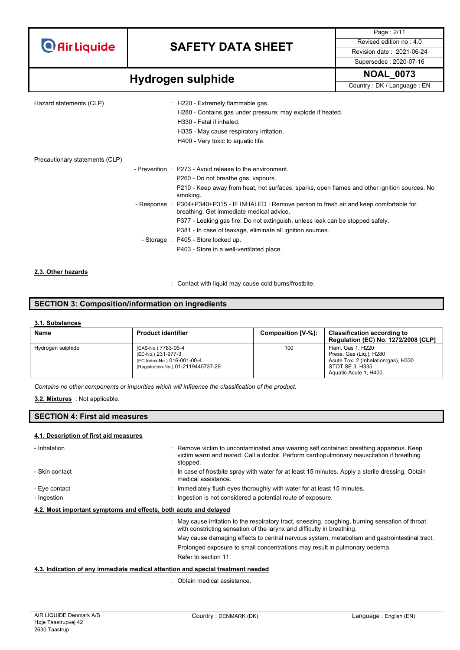## **SAFETY DATA SHEET** Revised edition no : 4.0

Supersedes : 2020-07-16

Page : 2/11

# **Hydrogen sulphide** NOAL\_0073

| Hazard statements (CLP)        | $\therefore$ H220 - Extremely flammable gas.<br>H280 - Contains gas under pressure; may explode if heated.<br>H330 - Fatal if inhaled.<br>H335 - May cause respiratory irritation.<br>H400 - Very toxic to aquatic life. |
|--------------------------------|--------------------------------------------------------------------------------------------------------------------------------------------------------------------------------------------------------------------------|
| Precautionary statements (CLP) |                                                                                                                                                                                                                          |
|                                | - Prevention : P273 - Avoid release to the environment.                                                                                                                                                                  |
|                                | P260 - Do not breathe gas, vapours.                                                                                                                                                                                      |
|                                | P210 - Keep away from heat, hot surfaces, sparks, open flames and other ignition sources. No<br>smoking.                                                                                                                 |
|                                | - Response : P304+P340+P315 - IF INHALED : Remove person to fresh air and keep comfortable for<br>breathing. Get immediate medical advice.                                                                               |
|                                | P377 - Leaking gas fire: Do not extinguish, unless leak can be stopped safely.                                                                                                                                           |
|                                | P381 - In case of leakage, eliminate all ignition sources.                                                                                                                                                               |
|                                | - Storage : P405 - Store locked up.                                                                                                                                                                                      |
|                                | P403 - Store in a well-ventilated place.                                                                                                                                                                                 |
|                                |                                                                                                                                                                                                                          |

#### **2.3. Other hazards**

: Contact with liquid may cause cold burns/frostbite.

### **SECTION 3: Composition/information on ingredients**

#### **3.1. Substances**

| Name              | <b>Product identifier</b>                                                                                       | Composition [V-%]: | <b>Classification according to</b><br><b>Regulation (EC) No. 1272/2008 [CLP]</b>                                                |
|-------------------|-----------------------------------------------------------------------------------------------------------------|--------------------|---------------------------------------------------------------------------------------------------------------------------------|
| Hydrogen sulphide | (CAS-No.) 7783-06-4<br>(EC-No.) 231-977-3<br>(EC Index-No.) 016-001-00-4<br>(Registration-No.) 01-2119445737-29 | 100                | Flam. Gas 1, H220<br>Press. Gas (Lig.), H280<br>Acute Tox. 2 (Inhalation:gas), H330<br>STOT SE 3. H335<br>Aquatic Acute 1, H400 |

*Contains no other components or impurities which will influence the classification of the product.*

#### : Not applicable. **3.2. Mixtures**

#### **SECTION 4: First aid measures**

#### **4.1. Description of first aid measures**

| - Inhalation                                                                    | : Remove victim to uncontaminated area wearing self contained breathing apparatus. Keep<br>victim warm and rested. Call a doctor. Perform cardiopulmonary resuscitation if breathing<br>stopped. |  |
|---------------------------------------------------------------------------------|--------------------------------------------------------------------------------------------------------------------------------------------------------------------------------------------------|--|
| - Skin contact                                                                  | : In case of frostbite spray with water for at least 15 minutes. Apply a sterile dressing. Obtain<br>medical assistance.                                                                         |  |
| - Eye contact                                                                   | : Immediately flush eyes thoroughly with water for at least 15 minutes.                                                                                                                          |  |
| - Ingestion                                                                     | : Ingestion is not considered a potential route of exposure.                                                                                                                                     |  |
| 4.2. Most important symptoms and effects, both acute and delayed                |                                                                                                                                                                                                  |  |
|                                                                                 | : May cause irritation to the respiratory tract, sneezing, coughing, burning sensation of throat<br>with constricting sensation of the larynx and difficulty in breathing.                       |  |
|                                                                                 | May cause damaging effects to central nervous system, metabolism and gastrointestinal tract.                                                                                                     |  |
|                                                                                 | Prolonged exposure to small concentrations may result in pulmonary oedema.                                                                                                                       |  |
|                                                                                 | Refer to section 11.                                                                                                                                                                             |  |
| 4.3. Indication of any immediate medical attention and special treatment needed |                                                                                                                                                                                                  |  |

: Obtain medical assistance.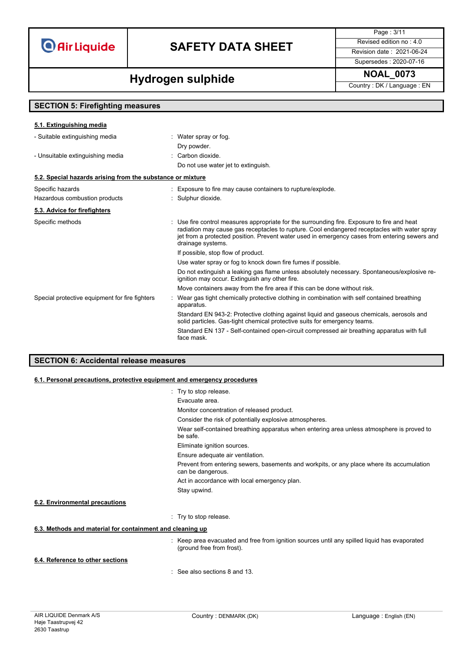## **SAFETY DATA SHEET** Revised edition no : 4.0

Page : 3/11

### Supersedes : 2020-07-16

# **Hydrogen sulphide** NOAL\_0073

| <b>SECTION 5: Firefighting measures</b>                    |                                                                                                                                                                                                                                                                                                                   |  |
|------------------------------------------------------------|-------------------------------------------------------------------------------------------------------------------------------------------------------------------------------------------------------------------------------------------------------------------------------------------------------------------|--|
| 5.1. Extinguishing media                                   |                                                                                                                                                                                                                                                                                                                   |  |
| - Suitable extinguishing media                             | : Water spray or fog.<br>Dry powder.                                                                                                                                                                                                                                                                              |  |
| - Unsuitable extinguishing media                           | : Carbon dioxide.<br>Do not use water jet to extinguish.                                                                                                                                                                                                                                                          |  |
| 5.2. Special hazards arising from the substance or mixture |                                                                                                                                                                                                                                                                                                                   |  |
| Specific hazards<br>Hazardous combustion products          | : Exposure to fire may cause containers to rupture/explode.<br>: Sulphur dioxide.                                                                                                                                                                                                                                 |  |
| 5.3. Advice for firefighters                               |                                                                                                                                                                                                                                                                                                                   |  |
| Specific methods                                           | : Use fire control measures appropriate for the surrounding fire. Exposure to fire and heat<br>radiation may cause gas receptacles to rupture. Cool endangered receptacles with water spray<br>jet from a protected position. Prevent water used in emergency cases from entering sewers and<br>drainage systems. |  |
|                                                            | If possible, stop flow of product.                                                                                                                                                                                                                                                                                |  |
|                                                            | Use water spray or fog to knock down fire fumes if possible.                                                                                                                                                                                                                                                      |  |
|                                                            | Do not extinguish a leaking gas flame unless absolutely necessary. Spontaneous/explosive re-<br>ignition may occur. Extinguish any other fire.                                                                                                                                                                    |  |
|                                                            | Move containers away from the fire area if this can be done without risk.                                                                                                                                                                                                                                         |  |
| Special protective equipment for fire fighters             | Wear gas tight chemically protective clothing in combination with self contained breathing<br>apparatus.<br>Standard EN 943-2: Protective clothing against liquid and gaseous chemicals, aerosols and                                                                                                             |  |
|                                                            | solid particles. Gas-tight chemical protective suits for emergency teams.                                                                                                                                                                                                                                         |  |
|                                                            | Standard EN 137 - Self-contained open-circuit compressed air breathing apparatus with full<br>face mask.                                                                                                                                                                                                          |  |

### **SECTION 6: Accidental release measures**

#### **6.1. Personal precautions, protective equipment and emergency procedures**

|                                                           | : Try to stop release.                                                                                                    |
|-----------------------------------------------------------|---------------------------------------------------------------------------------------------------------------------------|
|                                                           | Evacuate area.                                                                                                            |
|                                                           | Monitor concentration of released product.                                                                                |
|                                                           | Consider the risk of potentially explosive atmospheres.                                                                   |
|                                                           | Wear self-contained breathing apparatus when entering area unless atmosphere is proved to<br>be safe.                     |
|                                                           | Eliminate ignition sources.                                                                                               |
|                                                           | Ensure adequate air ventilation.                                                                                          |
|                                                           | Prevent from entering sewers, basements and workpits, or any place where its accumulation<br>can be dangerous.            |
|                                                           | Act in accordance with local emergency plan.                                                                              |
|                                                           | Stay upwind.                                                                                                              |
| 6.2. Environmental precautions                            |                                                                                                                           |
|                                                           | : Try to stop release.                                                                                                    |
| 6.3. Methods and material for containment and cleaning up |                                                                                                                           |
|                                                           | : Keep area evacuated and free from ignition sources until any spilled liquid has evaporated<br>(ground free from frost). |
| 6.4. Reference to other sections                          |                                                                                                                           |
|                                                           | $\cdot$ See also sections 8 and 13                                                                                        |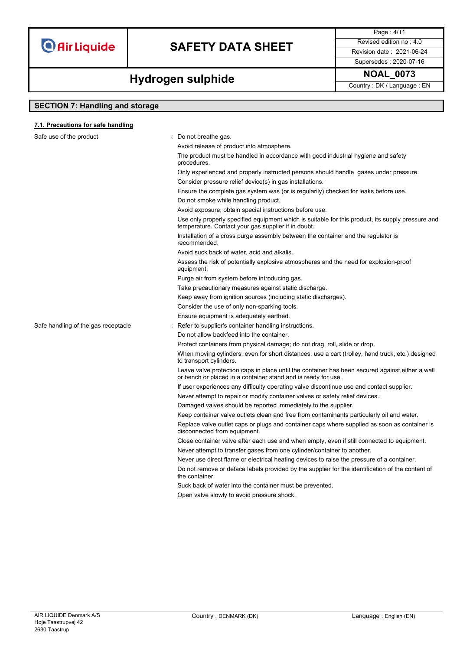### **SAFETY DATA SHEET** Revised edition no : 4.0

Supersedes : 2020-07-16

Page : 4/11

## **Hydrogen sulphide** NOAL\_0073

### **SECTION 7: Handling and storage**

**7.1. Precautions for safe handling**

#### Safe use of the product **interest in the set of the product** in the same in Do not breathe gas. Avoid release of product into atmosphere. The product must be handled in accordance with good industrial hygiene and safety procedures. Only experienced and properly instructed persons should handle gases under pressure. Consider pressure relief device(s) in gas installations. Ensure the complete gas system was (or is regularily) checked for leaks before use. Do not smoke while handling product. Avoid exposure, obtain special instructions before use. Use only properly specified equipment which is suitable for this product, its supply pressure and temperature. Contact your gas supplier if in doubt. Installation of a cross purge assembly between the container and the regulator is recommended. Avoid suck back of water, acid and alkalis. Assess the risk of potentially explosive atmospheres and the need for explosion-proof equipment. Purge air from system before introducing gas. Take precautionary measures against static discharge. Keep away from ignition sources (including static discharges). Consider the use of only non-sparking tools. Ensure equipment is adequately earthed. Safe handling of the gas receptacle : Refer to supplier's container handling instructions. Do not allow backfeed into the container. Protect containers from physical damage; do not drag, roll, slide or drop. When moving cylinders, even for short distances, use a cart (trolley, hand truck, etc.) designed to transport cylinders. Leave valve protection caps in place until the container has been secured against either a wall or bench or placed in a container stand and is ready for use. If user experiences any difficulty operating valve discontinue use and contact supplier. Never attempt to repair or modify container valves or safety relief devices. Damaged valves should be reported immediately to the supplier. Keep container valve outlets clean and free from contaminants particularly oil and water. Replace valve outlet caps or plugs and container caps where supplied as soon as container is disconnected from equipment. Close container valve after each use and when empty, even if still connected to equipment. Never attempt to transfer gases from one cylinder/container to another. Never use direct flame or electrical heating devices to raise the pressure of a container. Do not remove or deface labels provided by the supplier for the identification of the content of the container. Suck back of water into the container must be prevented. Open valve slowly to avoid pressure shock.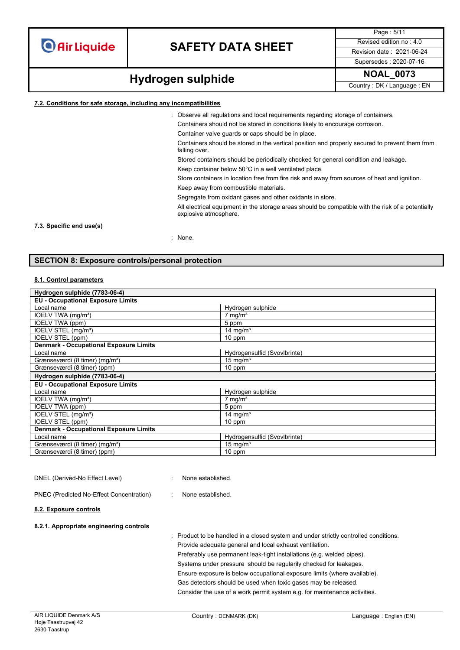### **SAFETY DATA SHEET** Revised edition no : 4.0

Supersedes : 2020-07-16

Page : 5/11

# **Hydrogen sulphide** NOAL\_0073

#### **7.2. Conditions for safe storage, including any incompatibilities**

: Observe all regulations and local requirements regarding storage of containers.

Containers should not be stored in conditions likely to encourage corrosion.

Container valve guards or caps should be in place.

Containers should be stored in the vertical position and properly secured to prevent them from falling over.

Stored containers should be periodically checked for general condition and leakage.

Keep container below 50°C in a well ventilated place.

Store containers in location free from fire risk and away from sources of heat and ignition.

Keep away from combustible materials.

Segregate from oxidant gases and other oxidants in store.

All electrical equipment in the storage areas should be compatible with the risk of a potentially explosive atmosphere.

#### **7.3. Specific end use(s)**

: None.

#### **SECTION 8: Exposure controls/personal protection**

#### **8.1. Control parameters**

| Hydrogen sulphide (7783-06-4)                 |                              |  |
|-----------------------------------------------|------------------------------|--|
| <b>EU - Occupational Exposure Limits</b>      |                              |  |
| Local name                                    | Hydrogen sulphide            |  |
| IOELV TWA (mg/m <sup>3</sup> )                | $7$ mg/m <sup>3</sup>        |  |
| IOELV TWA (ppm)                               | 5 ppm                        |  |
| IOELV STEL (mg/m <sup>3</sup> )               | 14 mg/m <sup>3</sup>         |  |
| <b>IOELV STEL (ppm)</b>                       | 10 ppm                       |  |
| <b>Denmark - Occupational Exposure Limits</b> |                              |  |
| Local name                                    | Hydrogensulfid (Svovlbrinte) |  |
| Grænseværdi (8 timer) (mg/m <sup>3</sup> )    | $15 \text{ mg/m}^3$          |  |
| Grænseværdi (8 timer) (ppm)                   | 10 ppm                       |  |
| Hydrogen sulphide (7783-06-4)                 |                              |  |
| <b>EU - Occupational Exposure Limits</b>      |                              |  |
| Local name                                    | Hydrogen sulphide            |  |
| IOELV TWA (mg/m <sup>3</sup> )                | $7 \text{ mg/m}^3$           |  |
| IOELV TWA (ppm)                               | 5 ppm                        |  |
| IOELV STEL (mg/m <sup>3</sup> )               | 14 mg/m <sup>3</sup>         |  |
| IOELV STEL (ppm)                              | 10 ppm                       |  |
| <b>Denmark - Occupational Exposure Limits</b> |                              |  |
| Local name                                    | Hydrogensulfid (Svovlbrinte) |  |
| Grænseværdi (8 timer) (mg/m <sup>3</sup> )    | $15 \text{ mg/m}^3$          |  |
| Grænseværdi (8 timer) (ppm)                   | 10 ppm                       |  |

#### DNEL (Derived-No Effect Level) : None established.

PNEC (Predicted No-Effect Concentration) : None established.

#### **8.2. Exposure controls**

#### **8.2.1. Appropriate engineering controls**

: Product to be handled in a closed system and under strictly controlled conditions. Provide adequate general and local exhaust ventilation. Preferably use permanent leak-tight installations (e.g. welded pipes). Systems under pressure should be regularily checked for leakages. Ensure exposure is below occupational exposure limits (where available). Gas detectors should be used when toxic gases may be released. Consider the use of a work permit system e.g. for maintenance activities.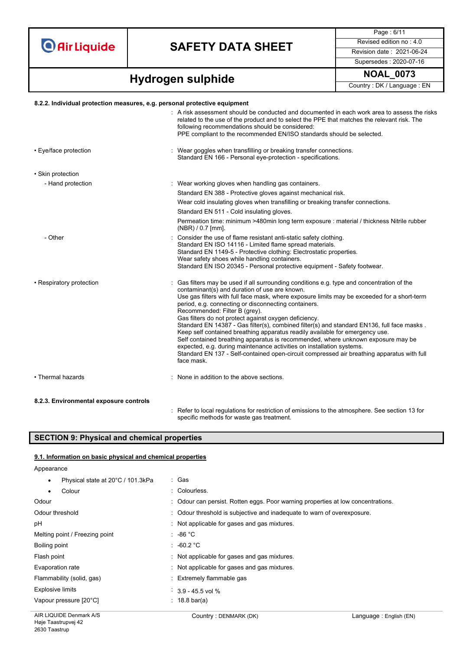### **SAFETY DATA SHEET** Revised edition no : 4.0

Supersedes : 2020-07-16

Page : 6/11

**Hydrogen sulphide** NOAL\_0073

#### **8.2.2. Individual protection measures, e.g. personal protective equipment**

|                          | : A risk assessment should be conducted and documented in each work area to assess the risks<br>related to the use of the product and to select the PPE that matches the relevant risk. The<br>following recommendations should be considered:<br>PPE compliant to the recommended EN/ISO standards should be selected.                                                                                                                                                                                                                                                                                                                                                                                                                                                                                                                           |
|--------------------------|---------------------------------------------------------------------------------------------------------------------------------------------------------------------------------------------------------------------------------------------------------------------------------------------------------------------------------------------------------------------------------------------------------------------------------------------------------------------------------------------------------------------------------------------------------------------------------------------------------------------------------------------------------------------------------------------------------------------------------------------------------------------------------------------------------------------------------------------------|
| • Eye/face protection    | : Wear goggles when transfilling or breaking transfer connections.<br>Standard EN 166 - Personal eye-protection - specifications.                                                                                                                                                                                                                                                                                                                                                                                                                                                                                                                                                                                                                                                                                                                 |
| • Skin protection        |                                                                                                                                                                                                                                                                                                                                                                                                                                                                                                                                                                                                                                                                                                                                                                                                                                                   |
| - Hand protection        | : Wear working gloves when handling gas containers.                                                                                                                                                                                                                                                                                                                                                                                                                                                                                                                                                                                                                                                                                                                                                                                               |
|                          | Standard EN 388 - Protective gloves against mechanical risk.                                                                                                                                                                                                                                                                                                                                                                                                                                                                                                                                                                                                                                                                                                                                                                                      |
|                          | Wear cold insulating gloves when transfilling or breaking transfer connections.                                                                                                                                                                                                                                                                                                                                                                                                                                                                                                                                                                                                                                                                                                                                                                   |
|                          | Standard EN 511 - Cold insulating gloves.                                                                                                                                                                                                                                                                                                                                                                                                                                                                                                                                                                                                                                                                                                                                                                                                         |
|                          | Permeation time: minimum >480min long term exposure : material / thickness Nitrile rubber<br>$(NBR) / 0.7$ [mm].                                                                                                                                                                                                                                                                                                                                                                                                                                                                                                                                                                                                                                                                                                                                  |
| - Other                  | Consider the use of flame resistant anti-static safety clothing.<br>Standard EN ISO 14116 - Limited flame spread materials.<br>Standard EN 1149-5 - Protective clothing: Electrostatic properties.<br>Wear safety shoes while handling containers.<br>Standard EN ISO 20345 - Personal protective equipment - Safety footwear.                                                                                                                                                                                                                                                                                                                                                                                                                                                                                                                    |
| • Respiratory protection | Gas filters may be used if all surrounding conditions e.g. type and concentration of the<br>contaminant(s) and duration of use are known.<br>Use gas filters with full face mask, where exposure limits may be exceeded for a short-term<br>period, e.g. connecting or disconnecting containers.<br>Recommended: Filter B (grey).<br>Gas filters do not protect against oxygen deficiency.<br>Standard EN 14387 - Gas filter(s), combined filter(s) and standard EN136, full face masks.<br>Keep self contained breathing apparatus readily available for emergency use.<br>Self contained breathing apparatus is recommended, where unknown exposure may be<br>expected, e.g. during maintenance activities on installation systems.<br>Standard EN 137 - Self-contained open-circuit compressed air breathing apparatus with full<br>face mask. |
| • Thermal hazards        | None in addition to the above sections.                                                                                                                                                                                                                                                                                                                                                                                                                                                                                                                                                                                                                                                                                                                                                                                                           |
|                          |                                                                                                                                                                                                                                                                                                                                                                                                                                                                                                                                                                                                                                                                                                                                                                                                                                                   |

#### **8.2.3. Environmental exposure controls**

: Refer to local regulations for restriction of emissions to the atmosphere. See section 13 for specific methods for waste gas treatment.

### **SECTION 9: Physical and chemical properties**

#### **9.1. Information on basic physical and chemical properties**

Appearance Physical state at 20°C / 101.3kPa : Gas Colour : Colourless. Odour : Odour can persist. Rotten eggs. Poor warning properties at low concentrations. Odour threshold : Odour threshold is subjective and inadequate to warn of overexposure. pH  $\blacksquare$  : Not applicable for gases and gas mixtures. Melting point / Freezing point : -86 °C Boiling point : -60.2 °C Flash point **Flash point Example 20** Flash point **CO** is a mixture of the state of the state of the state of the state of the state of the state of the state of the state of the state of the state of the state of the sta Evaporation rate **interpretent in the Community Community** Represent to Mot applicable for gases and gas mixtures. Flammability (solid, gas) <br> Extremely flammable gas Explosive limits  $\frac{1}{3.9} - 45.5$  vol % Vapour pressure [20°C]  $\qquad \qquad$  : 18.8 bar(a)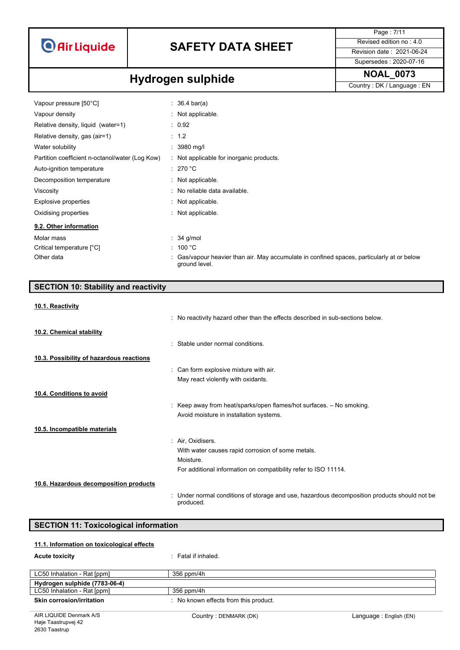

## **SAFETY DATA SHEET** Revised edition no : 4.0

Page : 7/11 Supersedes : 2020-07-16

# **Hydrogen sulphide** NOAL\_0073

| Vapour pressure [50°C]                          | : 36.4 bar(a)                                                                                               |
|-------------------------------------------------|-------------------------------------------------------------------------------------------------------------|
| Vapour density                                  | : Not applicable.                                                                                           |
| Relative density, liquid (water=1)              | : 0.92                                                                                                      |
| Relative density, gas (air=1)                   | $\therefore$ 1.2                                                                                            |
| Water solubility                                | $: 3980$ mg/l                                                                                               |
| Partition coefficient n-octanol/water (Log Kow) | : Not applicable for inorganic products.                                                                    |
| Auto-ignition temperature                       | : 270 °C                                                                                                    |
| Decomposition temperature                       | $\therefore$ Not applicable.                                                                                |
| Viscosity                                       | : No reliable data available.                                                                               |
| Explosive properties                            | : Not applicable.                                                                                           |
| Oxidising properties                            | : Not applicable.                                                                                           |
| 9.2. Other information                          |                                                                                                             |
| Molar mass                                      | $\therefore$ 34 g/mol                                                                                       |
| Critical temperature [°C]                       | : 100 °C                                                                                                    |
| Other data                                      | : Gas/vapour heavier than air. May accumulate in confined spaces, particularly at or below<br>ground level. |

| <b>SECTION 10: Stability and reactivity</b> |  |
|---------------------------------------------|--|
|                                             |  |

| 10.1. Reactivity |
|------------------|
|                  |

|                                          | : No reactivity hazard other than the effects described in sub-sections below.                            |
|------------------------------------------|-----------------------------------------------------------------------------------------------------------|
| 10.2. Chemical stability                 |                                                                                                           |
|                                          | : Stable under normal conditions.                                                                         |
| 10.3. Possibility of hazardous reactions |                                                                                                           |
|                                          | : Can form explosive mixture with air.                                                                    |
|                                          | May react violently with oxidants.                                                                        |
| 10.4. Conditions to avoid                |                                                                                                           |
|                                          | : Keep away from heat/sparks/open flames/hot surfaces. $-$ No smoking.                                    |
|                                          | Avoid moisture in installation systems.                                                                   |
| 10.5. Incompatible materials             |                                                                                                           |
|                                          | : Air, Oxidisers.                                                                                         |
|                                          | With water causes rapid corrosion of some metals.                                                         |
|                                          | Moisture.                                                                                                 |
|                                          | For additional information on compatibility refer to ISO 11114.                                           |
| 10.6. Hazardous decomposition products   |                                                                                                           |
|                                          | : Under normal conditions of storage and use, hazardous decomposition products should not be<br>produced. |

### **SECTION 11: Toxicological information**

#### **11.1. Information on toxicological effects**

| <b>Acute toxicity</b>         | : Fatal if inhaled.                   |
|-------------------------------|---------------------------------------|
| LC50 Inhalation - Rat [ppm]   | 356 ppm/4h                            |
| Hydrogen sulphide (7783-06-4) |                                       |
| LC50 Inhalation - Rat [ppm]   | 356 ppm/4h                            |
| Skin corrosion/irritation     | : No known effects from this product. |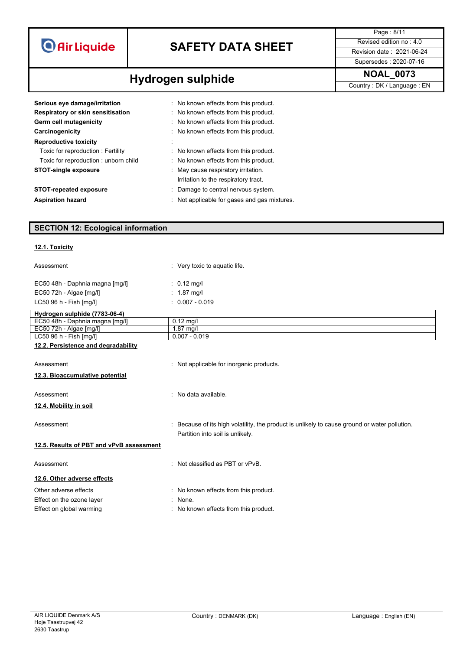| <b>O</b> Air Liquide |  |  |
|----------------------|--|--|
|                      |  |  |

## **SAFETY DATA SHEET** Revised edition no : 4.0

**Hydrogen sulphide** NOAL\_0073

Page : 8/11 Supersedes : 2020-07-16

| Serious eye damage/irritation<br>Respiratory or skin sensitisation<br>Germ cell mutagenicity<br>Carcinogenicity | : No known effects from this product.<br>: No known effects from this product.<br>: No known effects from this product.<br>: No known effects from this product. |
|-----------------------------------------------------------------------------------------------------------------|------------------------------------------------------------------------------------------------------------------------------------------------------------------|
| <b>Reproductive toxicity</b>                                                                                    |                                                                                                                                                                  |
| Toxic for reproduction: Fertility                                                                               | No known effects from this product.                                                                                                                              |
| Toxic for reproduction: unborn child                                                                            | : No known effects from this product.                                                                                                                            |
| <b>STOT-single exposure</b>                                                                                     | : May cause respiratory irritation.<br>Irritation to the respiratory tract.                                                                                      |
| <b>STOT-repeated exposure</b>                                                                                   | : Damage to central nervous system.                                                                                                                              |
| <b>Aspiration hazard</b>                                                                                        | Not applicable for gases and gas mixtures.                                                                                                                       |

### **SECTION 12: Ecological information**

#### **12.1. Toxicity**

| Assessment                          | : Very toxic to aquatic life.            |
|-------------------------------------|------------------------------------------|
| EC50 48h - Daphnia magna [mg/l]     | $: 0.12$ mg/l                            |
| EC50 72h - Algae [mg/l]             | $: 1.87$ mg/l                            |
| LC50 96 h - Fish [mq/l]             | $: 0.007 - 0.019$                        |
| Hydrogen sulphide (7783-06-4)       |                                          |
| EC50 48h - Daphnia magna [mg/l]     | $0.12$ mg/l                              |
| $EC50$ 72h - Algae $[mg/l]$         | $1.87$ mg/l                              |
| LC50 96 h - Fish [mq/l]             | $0.007 - 0.019$                          |
| 12.2. Persistence and degradability |                                          |
| Assessment                          | : Not applicable for inorganic products. |
| 12.3. Bioaccumulative potential     |                                          |

#### Assessment : No data available.

**12.4. Mobility in soil**

#### **12.5. Results of PBT and vPvB assessment**

- **12.6. Other adverse effects**
- Effect on the ozone layer **in the set of the set of the S** in None.
- 
- Assessment example : Because of its high volatility, the product is unlikely to cause ground or water pollution. Partition into soil is unlikely.

Assessment **in the case of the CASS** and Assessment in the Assessment of the Assessment of the Assessment of the Assessment of the Assessment of the Assessment of the Assessment of the Assessment of the Assessment of the A

- Other adverse effects **in the contract of the Contract Contract Contract Contract Contract Contract Contract Contract Contract Contract Contract Contract Contract Contract Contract Contract Contract Contract Contract Contr** 
	-
- Effect on global warming **Effect** on global warming **in the state of the state of the state of the state of the state of the state of the state of the state of the state of the state of the state of the state of the state**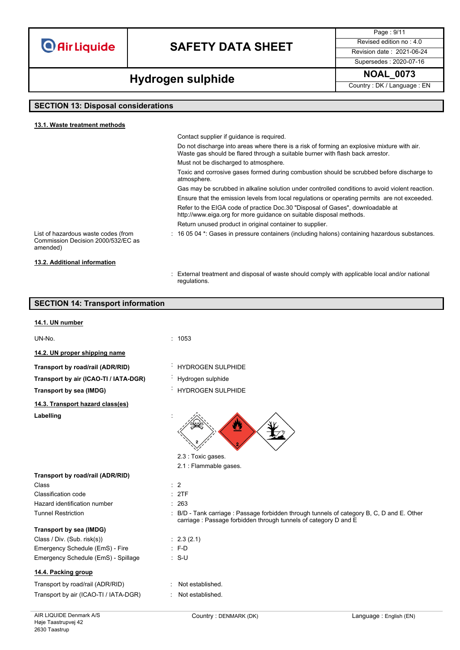### **SAFETY DATA SHEET** Revised edition no : 4.0

Supersedes : 2020-07-16

Page : 9/11

**Hydrogen sulphide** NOAL\_0073

### **SECTION 13: Disposal considerations**

| 13.1. Waste treatment methods                                                         |                                                                                                                                                                               |
|---------------------------------------------------------------------------------------|-------------------------------------------------------------------------------------------------------------------------------------------------------------------------------|
|                                                                                       | Contact supplier if quidance is required.                                                                                                                                     |
|                                                                                       | Do not discharge into areas where there is a risk of forming an explosive mixture with air.<br>Waste gas should be flared through a suitable burner with flash back arrestor. |
|                                                                                       | Must not be discharged to atmosphere.                                                                                                                                         |
|                                                                                       | Toxic and corrosive gases formed during combustion should be scrubbed before discharge to<br>atmosphere.                                                                      |
|                                                                                       | Gas may be scrubbed in alkaline solution under controlled conditions to avoid violent reaction.                                                                               |
|                                                                                       | Ensure that the emission levels from local regulations or operating permits are not exceeded.                                                                                 |
|                                                                                       | Refer to the EIGA code of practice Doc.30 "Disposal of Gases", downloadable at<br>http://www.eiga.org for more guidance on suitable disposal methods.                         |
|                                                                                       | Return unused product in original container to supplier.                                                                                                                      |
| List of hazardous waste codes (from<br>Commission Decision 2000/532/EC as<br>amended) | : 16 05 04 *: Gases in pressure containers (including halons) containing hazardous substances.                                                                                |
| 13.2. Additional information                                                          |                                                                                                                                                                               |

#### **SECTION 14: Transport information**

#### **14.1. UN number**

UN-No. : 1053

**14.2. UN proper shipping name**

**Transport by road/rail (ADR/RID)** : HYDROGEN SULPHIDE

**Transport by air (ICAO-TI / IATA-DGR)** : Hydrogen sulphide

**14.3. Transport hazard class(es)**

Labelling

regulations.

- 
- 
- **Transport by sea (IMDG)** : HYDROGEN SULPHIDE



- 2.3 : Toxic gases.
- 2.1 : Flammable gases.

| Transport by road/rail (ADR/RID) |                |
|----------------------------------|----------------|
| Class                            | $\therefore$ 2 |
| Classification code              | $\therefore$ 2 |
| Hazard identification number     | : 2            |

**Transport by sea (IMDG)**

| Class / Div. $(Sub. risk(s))$       | $\therefore$ 2.3 |
|-------------------------------------|------------------|
| Emergency Schedule (EmS) - Fire     | : F-D            |
| Emergency Schedule (EmS) - Spillage | : S-U            |

#### **14.4. Packing group**

Transport by road/rail (ADR/RID) : Not established. Transport by air (ICAO-TI / IATA-DGR) : Not established.

- $: 2TF$  $: 263$
- Tunnel Restriction : B/D Tank carriage : Passage forbidden through tunnels of category B, C, D and E. Other carriage : Passage forbidden through tunnels of category D and E

: External treatment and disposal of waste should comply with applicable local and/or national

- $: 2.3 (2.1)$
- 
- $\therefore$  S-U
-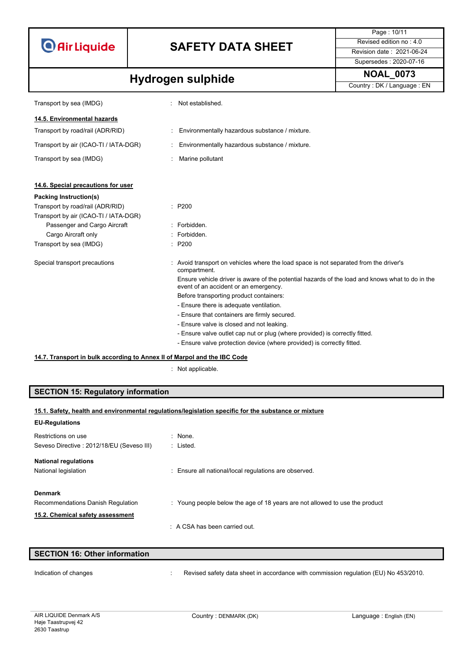|                                                                          |                          |                                                                                                                                          | Page: 10/11               |
|--------------------------------------------------------------------------|--------------------------|------------------------------------------------------------------------------------------------------------------------------------------|---------------------------|
| <b>O</b> Air Liquide                                                     | <b>SAFETY DATA SHEET</b> | Revised edition no: 4.0                                                                                                                  |                           |
|                                                                          |                          |                                                                                                                                          | Revision date: 2021-06-24 |
|                                                                          |                          |                                                                                                                                          | Supersedes: 2020-07-16    |
|                                                                          |                          |                                                                                                                                          | <b>NOAL 0073</b>          |
| <b>Hydrogen sulphide</b>                                                 |                          | Country: DK / Language: EN                                                                                                               |                           |
| Transport by sea (IMDG)                                                  |                          | Not established.                                                                                                                         |                           |
| 14.5. Environmental hazards                                              |                          |                                                                                                                                          |                           |
| Transport by road/rail (ADR/RID)                                         |                          | Environmentally hazardous substance / mixture.                                                                                           |                           |
| Transport by air (ICAO-TI / IATA-DGR)                                    |                          | Environmentally hazardous substance / mixture.                                                                                           |                           |
| Transport by sea (IMDG)                                                  |                          | Marine pollutant                                                                                                                         |                           |
| 14.6. Special precautions for user                                       |                          |                                                                                                                                          |                           |
| Packing Instruction(s)                                                   |                          |                                                                                                                                          |                           |
| Transport by road/rail (ADR/RID)                                         |                          | : P200                                                                                                                                   |                           |
| Transport by air (ICAO-TI / IATA-DGR)                                    |                          |                                                                                                                                          |                           |
| Passenger and Cargo Aircraft                                             |                          | : Forbidden.                                                                                                                             |                           |
| Cargo Aircraft only                                                      |                          | : Forbidden.                                                                                                                             |                           |
| Transport by sea (IMDG)                                                  |                          | : P200                                                                                                                                   |                           |
| Special transport precautions                                            |                          | : Avoid transport on vehicles where the load space is not separated from the driver's<br>compartment.                                    |                           |
|                                                                          |                          | Ensure vehicle driver is aware of the potential hazards of the load and knows what to do in the<br>event of an accident or an emergency. |                           |
|                                                                          |                          | Before transporting product containers:                                                                                                  |                           |
|                                                                          |                          | - Ensure there is adequate ventilation.                                                                                                  |                           |
|                                                                          |                          | - Ensure that containers are firmly secured.                                                                                             |                           |
|                                                                          |                          | - Ensure valve is closed and not leaking.                                                                                                |                           |
|                                                                          |                          | - Ensure valve outlet cap nut or plug (where provided) is correctly fitted.                                                              |                           |
|                                                                          |                          | - Ensure valve protection device (where provided) is correctly fitted.                                                                   |                           |
| 14.7. Transport in bulk according to Annex II of Marpol and the IBC Code |                          |                                                                                                                                          |                           |

: Not applicable.

**SECTION 15: Regulatory information**

| 15.1. Safety, health and environmental regulations/legislation specific for the substance or mixture |                                                                             |
|------------------------------------------------------------------------------------------------------|-----------------------------------------------------------------------------|
| <b>EU-Regulations</b>                                                                                |                                                                             |
| Restrictions on use                                                                                  | : None.                                                                     |
| Seveso Directive: 2012/18/EU (Seveso III)                                                            | : Listed.                                                                   |
| <b>National regulations</b>                                                                          |                                                                             |
| National legislation                                                                                 | : Ensure all national/local regulations are observed.                       |
| <b>Denmark</b>                                                                                       |                                                                             |
| Recommendations Danish Regulation                                                                    | : Young people below the age of 18 years are not allowed to use the product |
| 15.2. Chemical safety assessment                                                                     |                                                                             |
|                                                                                                      | $\therefore$ A CSA has been carried out.                                    |
|                                                                                                      |                                                                             |
| <b>SECTION 16: Other information</b>                                                                 |                                                                             |

|                                                                                      | <b>SECTION 16: Other information</b> |  |  |
|--------------------------------------------------------------------------------------|--------------------------------------|--|--|
| Revised safety data sheet in accordance with commission regulation (EU) No 453/2010. |                                      |  |  |
|                                                                                      | Indication of changes                |  |  |